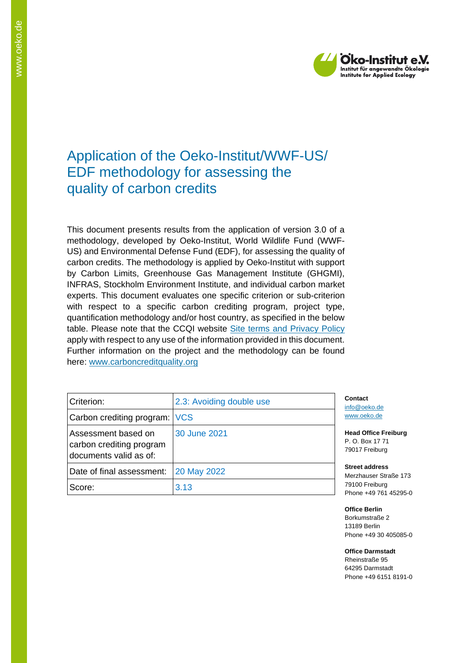

# Application of the Oeko-Institut/WWF-US/ EDF methodology for assessing the quality of carbon credits

This document presents results from the application of version 3.0 of a methodology, developed by Oeko-Institut, World Wildlife Fund (WWF-US) and Environmental Defense Fund (EDF), for assessing the quality of carbon credits. The methodology is applied by Oeko-Institut with support by Carbon Limits, Greenhouse Gas Management Institute (GHGMI), INFRAS, Stockholm Environment Institute, and individual carbon market experts. This document evaluates one specific criterion or sub-criterion with respect to a specific carbon crediting program, project type, quantification methodology and/or host country, as specified in the below table. Please note that the CCQI website [Site terms and Privacy Policy](https://carboncreditquality.org/terms.html) apply with respect to any use of the information provided in this document. Further information on the project and the methodology can be found here: [www.carboncreditquality.org](http://www.carboncreditquality.org/)

| Criterion:                                                                | 2.3: Avoiding double use | Cont<br>info@         |
|---------------------------------------------------------------------------|--------------------------|-----------------------|
| Carbon crediting program: VCS                                             |                          | <b>WWW</b>            |
| Assessment based on<br>carbon crediting program<br>documents valid as of: | 30 June 2021             | Head<br>P. O.<br>7901 |
| Date of final assessment:                                                 | 20 May 2022              | <b>Stree</b><br>Merz  |
| Score:                                                                    | 3.13                     | 7910<br>Phon          |

**Contact 2**oeko.de oeko.de

**Head Office Freiburg** Box 17 71 7 Freiburg

**Street address** hauser Straße 173 00 Freiburg e +49 761 45295-0

**Office Berlin** Borkumstraße 2 13189 Berlin Phone +49 30 405085-0

**Office Darmstadt** Rheinstraße 95 64295 Darmstadt Phone +49 6151 8191-0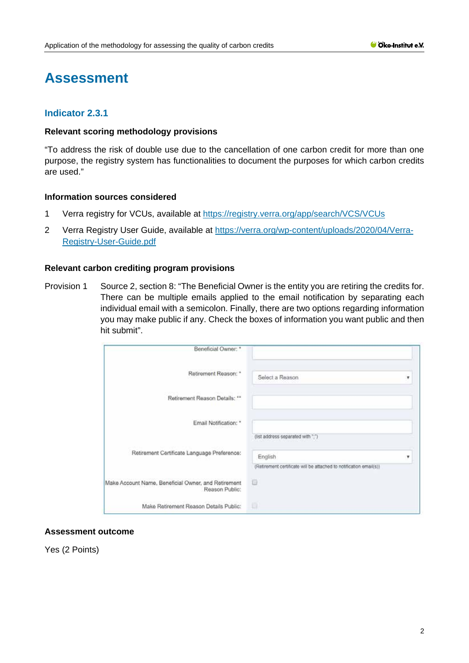# **Assessment**

# **Indicator 2.3.1**

#### **Relevant scoring methodology provisions**

"To address the risk of double use due to the cancellation of one carbon credit for more than one purpose, the registry system has functionalities to document the purposes for which carbon credits are used."

#### **Information sources considered**

- 1 Verra registry for VCUs, available at<https://registry.verra.org/app/search/VCS/VCUs>
- 2 Verra Registry User Guide, available at [https://verra.org/wp-content/uploads/2020/04/Verra-](https://verra.org/wp-content/uploads/2020/04/Verra-Registry-User-Guide.pdf)[Registry-User-Guide.pdf](https://verra.org/wp-content/uploads/2020/04/Verra-Registry-User-Guide.pdf)

### **Relevant carbon crediting program provisions**

Provision 1 Source 2, section 8: "The Beneficial Owner is the entity you are retiring the credits for. There can be multiple emails applied to the email notification by separating each individual email with a semicolon. Finally, there are two options regarding information you may make public if any. Check the boxes of information you want public and then hit submit".

| Beneficial Owner: *                                                   |                                                                    |   |
|-----------------------------------------------------------------------|--------------------------------------------------------------------|---|
| Retirement Reason: *                                                  | Select a Reason                                                    | ۳ |
| Retirement Reason Details: **                                         |                                                                    |   |
| Email Notification: *                                                 |                                                                    |   |
| Retirement Certificate Language Preference:                           | (ist address separated with ";")<br>English                        | v |
|                                                                       | (Retrement certificate will be attached to notification email(s)). |   |
| Make Account Name, Beneficial Owner, and Retirement<br>Reason Public: | Θ                                                                  |   |
| Make Retirement Reason Details Public:                                | G                                                                  |   |

### **Assessment outcome**

Yes (2 Points)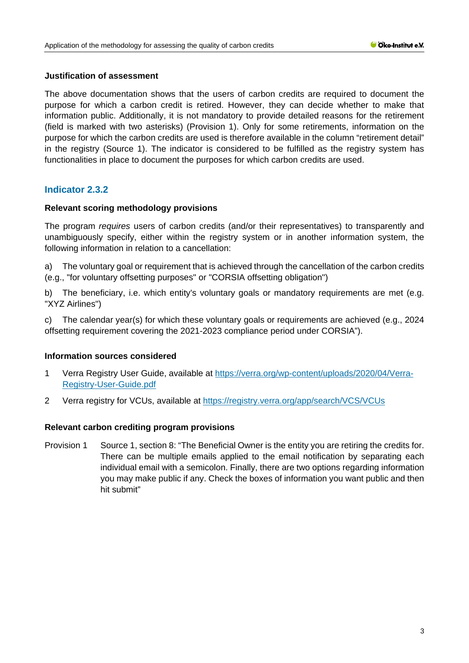### **Justification of assessment**

The above documentation shows that the users of carbon credits are required to document the purpose for which a carbon credit is retired. However, they can decide whether to make that information public. Additionally, it is not mandatory to provide detailed reasons for the retirement (field is marked with two asterisks) (Provision 1). Only for some retirements, information on the purpose for which the carbon credits are used is therefore available in the column "retirement detail" in the registry (Source 1). The indicator is considered to be fulfilled as the registry system has functionalities in place to document the purposes for which carbon credits are used.

# **Indicator 2.3.2**

# **Relevant scoring methodology provisions**

The program *requires* users of carbon credits (and/or their representatives) to transparently and unambiguously specify, either within the registry system or in another information system, the following information in relation to a cancellation:

a) The voluntary goal or requirement that is achieved through the cancellation of the carbon credits (e.g., "for voluntary offsetting purposes" or "CORSIA offsetting obligation")

b) The beneficiary, i.e. which entity's voluntary goals or mandatory requirements are met (e.g. "XYZ Airlines")

c) The calendar year(s) for which these voluntary goals or requirements are achieved (e.g., 2024 offsetting requirement covering the 2021-2023 compliance period under CORSIA").

# **Information sources considered**

- 1 Verra Registry User Guide, available at [https://verra.org/wp-content/uploads/2020/04/Verra-](https://verra.org/wp-content/uploads/2020/04/Verra-Registry-User-Guide.pdf)[Registry-User-Guide.pdf](https://verra.org/wp-content/uploads/2020/04/Verra-Registry-User-Guide.pdf)
- 2 Verra registry for VCUs, available at https://registry.verra.org/app/search/VCS/VCUs

# **Relevant carbon crediting program provisions**

Provision 1 Source 1, section 8: "The Beneficial Owner is the entity you are retiring the credits for. There can be multiple emails applied to the email notification by separating each individual email with a semicolon. Finally, there are two options regarding information you may make public if any. Check the boxes of information you want public and then hit submit"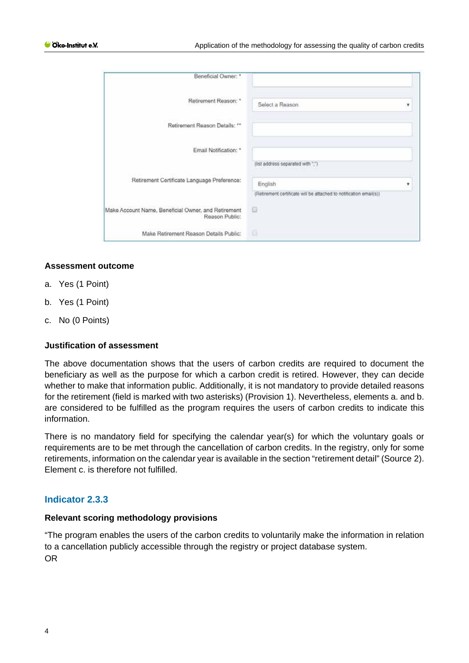| Beneficial Owner: *                                                   |                                                                    |   |
|-----------------------------------------------------------------------|--------------------------------------------------------------------|---|
| Retirement Reason: *                                                  | Select a Reason                                                    | ۳ |
| Retirement Reason Details: **                                         |                                                                    |   |
| Email Notification: *                                                 |                                                                    |   |
|                                                                       | (ist address separated with ";")                                   |   |
| Retirement Certificate Language Preference:                           | English                                                            | ▼ |
|                                                                       | (Retrement certificate will be attached to notification email(s)). |   |
| Make Account Name, Beneficial Owner, and Retirement<br>Reason Public: | Θ                                                                  |   |
| Make Retirement Reason Details Public:                                | Ð                                                                  |   |

#### **Assessment outcome**

- a. Yes (1 Point)
- b. Yes (1 Point)
- c. No (0 Points)

#### **Justification of assessment**

The above documentation shows that the users of carbon credits are required to document the beneficiary as well as the purpose for which a carbon credit is retired. However, they can decide whether to make that information public. Additionally, it is not mandatory to provide detailed reasons for the retirement (field is marked with two asterisks) (Provision 1). Nevertheless, elements a. and b. are considered to be fulfilled as the program requires the users of carbon credits to indicate this information.

There is no mandatory field for specifying the calendar year(s) for which the voluntary goals or requirements are to be met through the cancellation of carbon credits. In the registry, only for some retirements, information on the calendar year is available in the section "retirement detail" (Source 2). Element c. is therefore not fulfilled.

# **Indicator 2.3.3**

#### **Relevant scoring methodology provisions**

"The program enables the users of the carbon credits to voluntarily make the information in relation to a cancellation publicly accessible through the registry or project database system. OR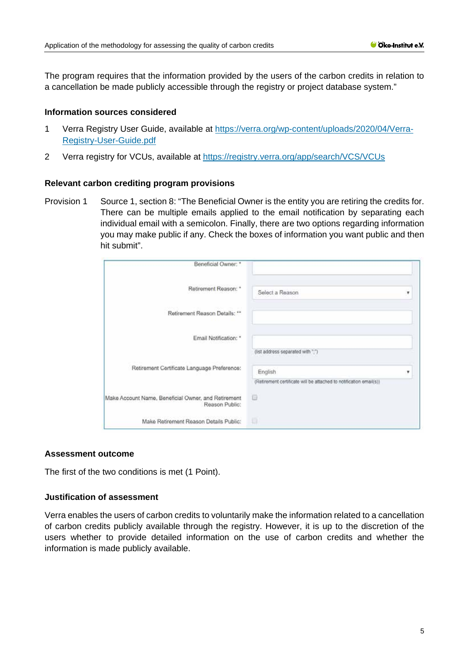The program requires that the information provided by the users of the carbon credits in relation to a cancellation be made publicly accessible through the registry or project database system."

# **Information sources considered**

- 1 Verra Registry User Guide, available at [https://verra.org/wp-content/uploads/2020/04/Verra-](https://verra.org/wp-content/uploads/2020/04/Verra-Registry-User-Guide.pdf)[Registry-User-Guide.pdf](https://verra.org/wp-content/uploads/2020/04/Verra-Registry-User-Guide.pdf)
- 2 Verra registry for VCUs, available at https://registry.verra.org/app/search/VCS/VCUs

### **Relevant carbon crediting program provisions**

Provision 1 Source 1, section 8: "The Beneficial Owner is the entity you are retiring the credits for. There can be multiple emails applied to the email notification by separating each individual email with a semicolon. Finally, there are two options regarding information you may make public if any. Check the boxes of information you want public and then hit submit".

| Beneficial Owner: *                                                   |                                                                                                                   |   |
|-----------------------------------------------------------------------|-------------------------------------------------------------------------------------------------------------------|---|
| Retirement Reason: *                                                  | Select a Reason                                                                                                   | ۰ |
| Retirement Reason Details: **                                         |                                                                                                                   |   |
| Email Notification: *                                                 |                                                                                                                   |   |
| Retirement Certificate Language Preference:                           | (ist address separated with ";")<br>English<br>(Retrement certificate will be attached to notification email(s)). | ۷ |
| Make Account Name, Beneficial Owner, and Retirement<br>Reason Public: | Θ                                                                                                                 |   |
| Make Retirement Reason Details Public:                                | 目                                                                                                                 |   |

#### **Assessment outcome**

The first of the two conditions is met (1 Point).

# **Justification of assessment**

Verra enables the users of carbon credits to voluntarily make the information related to a cancellation of carbon credits publicly available through the registry. However, it is up to the discretion of the users whether to provide detailed information on the use of carbon credits and whether the information is made publicly available.